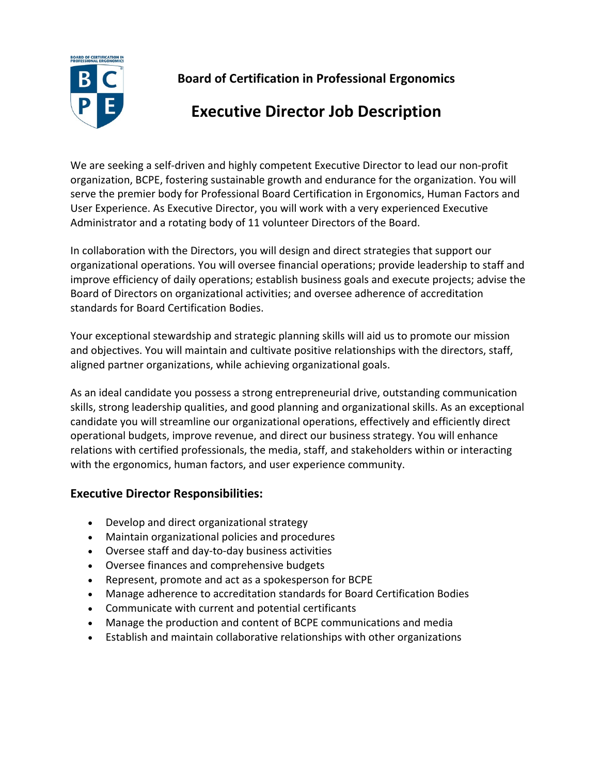

**Board of Certification in Professional Ergonomics**

# **Executive Director Job Description**

We are seeking a self-driven and highly competent Executive Director to lead our non-profit organization, BCPE, fostering sustainable growth and endurance for the organization. You will serve the premier body for Professional Board Certification in Ergonomics, Human Factors and User Experience. As Executive Director, you will work with a very experienced Executive Administrator and a rotating body of 11 volunteer Directors of the Board.

In collaboration with the Directors, you will design and direct strategies that support our organizational operations. You will oversee financial operations; provide leadership to staff and improve efficiency of daily operations; establish business goals and execute projects; advise the Board of Directors on organizational activities; and oversee adherence of accreditation standards for Board Certification Bodies.

Your exceptional stewardship and strategic planning skills will aid us to promote our mission and objectives. You will maintain and cultivate positive relationships with the directors, staff, aligned partner organizations, while achieving organizational goals.

As an ideal candidate you possess a strong entrepreneurial drive, outstanding communication skills, strong leadership qualities, and good planning and organizational skills. As an exceptional candidate you will streamline our organizational operations, effectively and efficiently direct operational budgets, improve revenue, and direct our business strategy. You will enhance relations with certified professionals, the media, staff, and stakeholders within or interacting with the ergonomics, human factors, and user experience community.

# **Executive Director Responsibilities:**

- Develop and direct organizational strategy
- Maintain organizational policies and procedures
- Oversee staff and day-to-day business activities
- Oversee finances and comprehensive budgets
- Represent, promote and act as a spokesperson for BCPE
- Manage adherence to accreditation standards for Board Certification Bodies
- Communicate with current and potential certificants
- Manage the production and content of BCPE communications and media
- Establish and maintain collaborative relationships with other organizations